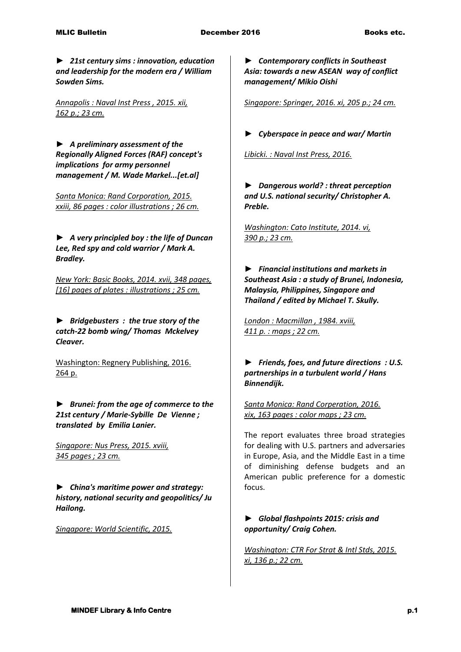► *21st century sims : innovation, education and leadership for the modern era / William Sowden Sims.*

*Annapolis : Naval Inst Press , 2015. xii, 162 p.; 23 cm.* 

► *A preliminary assessment of the Regionally Aligned Forces (RAF) concept's implications for army personnel management / M. Wade Markel...[et.al]*

*Santa Monica: Rand Corporation, 2015. xxiii, 86 pages : color illustrations ; 26 cm.* 

► *A very principled boy : the life of Duncan Lee, Red spy and cold warrior / Mark A. Bradley.*

*New York: Basic Books, 2014. xvii, 348 pages, [16] pages of plates : illustrations ; 25 cm.* 

**►** *Bridgebusters : the true story of the catch-22 bomb wing/ Thomas Mckelvey Cleaver.*

Washington: Regnery Publishing, 2016. 264 p.

*► Brunei: from the age of commerce to the 21st century / Marie-Sybille De Vienne ; translated by Emilia Lanier.*

*Singapore: Nus Press, 2015. xviii, 345 pages ; 23 cm.* 

► *China's maritime power and strategy: history, national security and geopolitics/ Ju Hailong.*

*Singapore: World Scientific, 2015.* 

*► Contemporary conflicts in Southeast Asia: towards a new ASEAN way of conflict management/ Mikio Oishi*

*Singapore: Springer, 2016. xi, 205 p.; 24 cm.* 

*► Cyberspace in peace and war/ Martin* 

*Libicki. : Naval Inst Press, 2016.* 

*► Dangerous world? : threat perception and U.S. national security/ Christopher A. Preble.*

*Washington: Cato Institute, 2014. vi, 390 p.; 23 cm.* 

*► Financial institutions and markets in Southeast Asia : a study of Brunei, Indonesia, Malaysia, Philippines, Singapore and Thailand / edited by Michael T. Skully.*

*London : Macmillan , 1984. xviii, 411 p. : maps ; 22 cm.* 

*► Friends, foes, and future directions : U.S. partnerships in a turbulent world / Hans Binnendijk.*

*Santa Monica: Rand Corperation, 2016. xix, 163 pages : color maps ; 23 cm.*

The report evaluates three broad strategies for dealing with U.S. partners and adversaries in Europe, Asia, and the Middle East in a time of diminishing defense budgets and an American public preference for a domestic focus.

*► Global flashpoints 2015: crisis and opportunity/ Craig Cohen.*

*Washington: CTR For Strat & Intl Stds, 2015. xi, 136 p.; 22 cm.*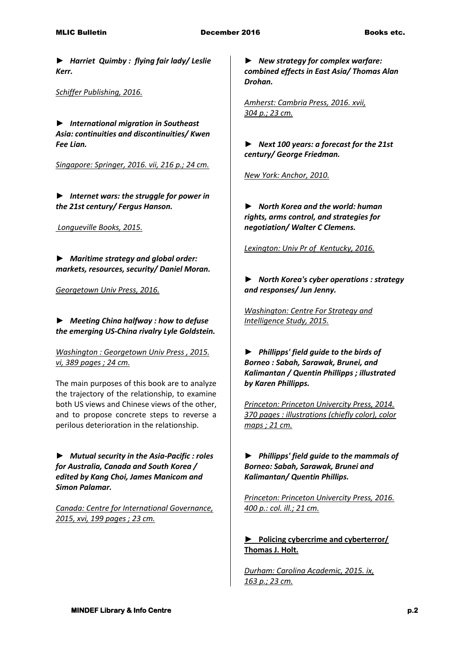*► Harriet Quimby : flying fair lady/ Leslie Kerr.*

*Schiffer Publishing, 2016.* 

► *International migration in Southeast Asia: continuities and discontinuities/ Kwen Fee Lian.*

*Singapore: Springer, 2016. vii, 216 p.; 24 cm.* 

*► Internet wars: the struggle for power in the 21st century/ Fergus Hanson.*

*Longueville Books, 2015.* 

*► Maritime strategy and global order: markets, resources, security/ Daniel Moran.*

*Georgetown Univ Press, 2016.* 

*► Meeting China halfway : how to defuse the emerging US-China rivalry Lyle Goldstein.*

*Washington : Georgetown Univ Press , 2015. vi, 389 pages ; 24 cm.*

The main purposes of this book are to analyze the trajectory of the relationship, to examine both US views and Chinese views of the other, and to propose concrete steps to reverse a perilous deterioration in the relationship.

*► Mutual security in the Asia-Pacific : roles for Australia, Canada and South Korea / edited by Kang Choi, James Manicom and Simon Palamar.*

*Canada: Centre for International Governance, 2015, xvi, 199 pages ; 23 cm.* 

*► New strategy for complex warfare: combined effects in East Asia/ Thomas Alan Drohan.*

*Amherst: Cambria Press, 2016. xvii, 304 p.; 23 cm.* 

*► Next 100 years: a forecast for the 21st century/ George Friedman.*

*New York: Anchor, 2010.* 

► *North Korea and the world: human rights, arms control, and strategies for negotiation/ Walter C Clemens.*

*Lexington: Univ Pr of Kentucky, 2016.* 

► *North Korea's cyber operations : strategy and responses/ Jun Jenny.*

*Washington: Centre For Strategy and Intelligence Study, 2015.* 

*► Phillipps' field guide to the birds of Borneo : Sabah, Sarawak, Brunei, and Kalimantan / Quentin Phillipps ; illustrated by Karen Phillipps.*

*Princeton: Princeton Univercity Press, 2014. 370 pages : illustrations (chiefly color), color maps ; 21 cm.* 

► *Phillipps' field guide to the mammals of Borneo: Sabah, Sarawak, Brunei and Kalimantan/ Quentin Phillips.*

*Princeton: Princeton Univercity Press, 2016. 400 p.: col. ill.; 21 cm.* 

**► Policing cybercrime and cyberterror/ Thomas J. Holt.**

*Durham: Carolina Academic, 2015. ix, 163 p.; 23 cm.*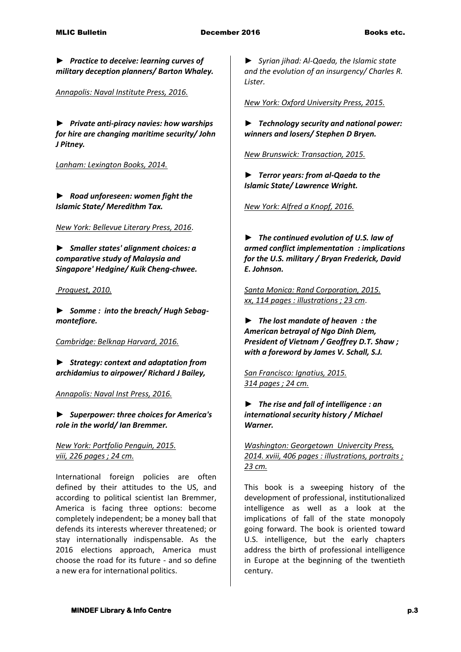*► Practice to deceive: learning curves of military deception planners/ Barton Whaley.*

*Annapolis: Naval Institute Press, 2016.* 

*► Private anti-piracy navies: how warships for hire are changing maritime security/ John J Pitney.*

*Lanham: Lexington Books, 2014.* 

*► Road unforeseen: women fight the Islamic State/ Meredithm Tax.* 

*New York: Bellevue Literary Press, 2016*.

*► Smaller states' alignment choices: a comparative study of Malaysia and Singapore' Hedgine/ Kuik Cheng-chwee.*

*Proquest, 2010.* 

*► Somme : into the breach/ Hugh Sebagmontefiore.*

*Cambridge: Belknap Harvard, 2016.* 

*► Strategy: context and adaptation from archidamius to airpower/ Richard J Bailey,*

*Annapolis: Naval Inst Press, 2016.* 

*► Superpower: three choices for America's role in the world/ Ian Bremmer.*

*New York: Portfolio Penguin, 2015. viii, 226 pages ; 24 cm.*

International foreign policies are often defined by their attitudes to the US, and according to political scientist Ian Bremmer, America is facing three options: become completely independent; be a money ball that defends its interests wherever threatened; or stay internationally indispensable. As the 2016 elections approach, America must choose the road for its future - and so define a new era for international politics.

*► Syrian jihad: Al-Qaeda, the Islamic state and the evolution of an insurgency/ Charles R. Lister.*

*New York: Oxford University Press, 2015.* 

► *Technology security and national power: winners and losers/ Stephen D Bryen.*

*New Brunswick: Transaction, 2015.* 

*► Terror years: from al-Qaeda to the Islamic State/ Lawrence Wright.*

*New York: Alfred a Knopf, 2016.* 

*► The continued evolution of U.S. law of armed conflict implementation : implications for the U.S. military / Bryan Frederick, David E. Johnson.*

*Santa Monica: Rand Corporation, 2015. xx, 114 pages : illustrations ; 23 cm*.

*► The lost mandate of heaven : the American betrayal of Ngo Dinh Diem, President of Vietnam / Geoffrey D.T. Shaw ; with a foreword by James V. Schall, S.J.*

*San Francisco: Ignatius, 2015. 314 pages ; 24 cm.* 

*► The rise and fall of intelligence : an international security history / Michael Warner.*

*Washington: Georgetown Univercity Press, 2014. xviii, 406 pages : illustrations, portraits ; 23 cm.*

This book is a sweeping history of the development of professional, institutionalized intelligence as well as a look at the implications of fall of the state monopoly going forward. The book is oriented toward U.S. intelligence, but the early chapters address the birth of professional intelligence in Europe at the beginning of the twentieth century.